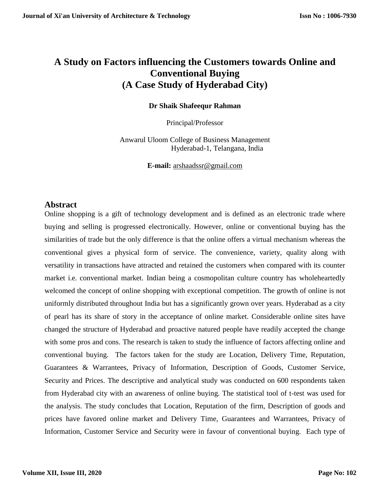# **A Study on Factors influencing the Customers towards Online and Conventional Buying (A Case Study of Hyderabad City)**

**Dr Shaik Shafeequr Rahman**

Principal/Professor

Anwarul Uloom College of Business Management Hyderabad-1, Telangana, India

**E-mail:** [arshaadssr@gmail.com](mailto:arshaadssr@gmail.com)

#### **Abstract**

Online shopping is a gift of technology development and is defined as an electronic trade where buying and selling is progressed electronically. However, online or conventional buying has the similarities of trade but the only difference is that the online offers a virtual mechanism whereas the conventional gives a physical form of service. The convenience, variety, quality along with versatility in transactions have attracted and retained the customers when compared with its counter market i.e. conventional market. Indian being a cosmopolitan culture country has wholeheartedly welcomed the concept of online shopping with exceptional competition. The growth of online is not uniformly distributed throughout India but has a significantly grown over years. Hyderabad as a city of pearl has its share of story in the acceptance of online market. Considerable online sites have changed the structure of Hyderabad and proactive natured people have readily accepted the change with some pros and cons. The research is taken to study the influence of factors affecting online and conventional buying. The factors taken for the study are Location, Delivery Time, Reputation, Guarantees & Warrantees, Privacy of Information, Description of Goods, Customer Service, Security and Prices. The descriptive and analytical study was conducted on 600 respondents taken from Hyderabad city with an awareness of online buying. The statistical tool of t-test was used for the analysis. The study concludes that Location, Reputation of the firm, Description of goods and prices have favored online market and Delivery Time, Guarantees and Warrantees, Privacy of Information, Customer Service and Security were in favour of conventional buying. Each type of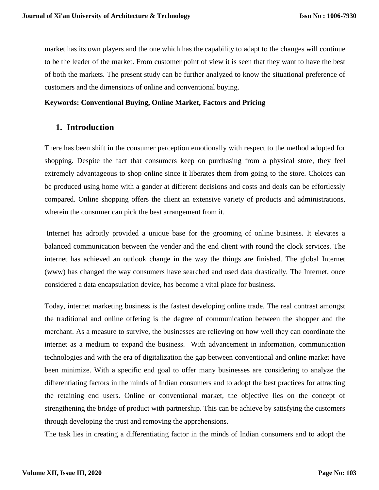market has its own players and the one which has the capability to adapt to the changes will continue to be the leader of the market. From customer point of view it is seen that they want to have the best of both the markets. The present study can be further analyzed to know the situational preference of customers and the dimensions of online and conventional buying.

#### **Keywords: Conventional Buying, Online Market, Factors and Pricing**

#### **1. Introduction**

There has been shift in the consumer perception emotionally with respect to the method adopted for shopping. Despite the fact that consumers keep on purchasing from a physical store, they feel extremely advantageous to shop online since it liberates them from going to the store. Choices can be produced using home with a gander at different decisions and costs and deals can be effortlessly compared. Online shopping offers the client an extensive variety of products and administrations, wherein the consumer can pick the best arrangement from it.

Internet has adroitly provided a unique base for the grooming of online business. It elevates a balanced communication between the vender and the end client with round the clock services. The internet has achieved an outlook change in the way the things are finished. The global Internet (www) has changed the way consumers have searched and used data drastically. The Internet, once considered a data encapsulation device, has become a vital place for business.

Today, internet marketing business is the fastest developing online trade. The real contrast amongst the traditional and online offering is the degree of communication between the shopper and the merchant. As a measure to survive, the businesses are relieving on how well they can coordinate the internet as a medium to expand the business. With advancement in information, communication technologies and with the era of digitalization the gap between conventional and online market have been minimize. With a specific end goal to offer many businesses are considering to analyze the differentiating factors in the minds of Indian consumers and to adopt the best practices for attracting the retaining end users. Online or conventional market, the objective lies on the concept of strengthening the bridge of product with partnership. This can be achieve by satisfying the customers through developing the trust and removing the apprehensions.

The task lies in creating a differentiating factor in the minds of Indian consumers and to adopt the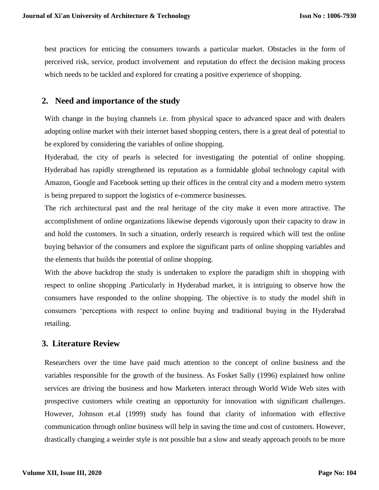best practices for enticing the consumers towards a particular market. Obstacles in the form of perceived risk, service, product involvement and reputation do effect the decision making process which needs to be tackled and explored for creating a positive experience of shopping.

### **2. Need and importance of the study**

With change in the buying channels i.e. from physical space to advanced space and with dealers adopting online market with their internet based shopping centers, there is a great deal of potential to be explored by considering the variables of online shopping.

Hyderabad, the city of pearls is selected for investigating the potential of online shopping. Hyderabad has rapidly strengthened its reputation as a formidable global technology capital with Amazon, Google and Facebook setting up their offices in the central city and a modern metro system is being prepared to support the logistics of e-commerce businesses.

The rich architectural past and the real heritage of the city make it even more attractive. The accomplishment of online organizations likewise depends vigorously upon their capacity to draw in and hold the customers. In such a situation, orderly research is required which will test the online buying behavior of the consumers and explore the significant parts of online shopping variables and the elements that builds the potential of online shopping.

With the above backdrop the study is undertaken to explore the paradigm shift in shopping with respect to online shopping .Particularly in Hyderabad market, it is intriguing to observe how the consumers have responded to the online shopping. The objective is to study the model shift in consumers 'perceptions with respect to online buying and traditional buying in the Hyderabad retailing.

### **3. Literature Review**

Researchers over the time have paid much attention to the concept of online business and the variables responsible for the growth of the business. As Fosket Sally (1996) explained how online services are driving the business and how Marketers interact through World Wide Web sites with prospective customers while creating an opportunity for innovation with significant challenges. However, Johnson et.al (1999) study has found that clarity of information with effective communication through online business will help in saving the time and cost of customers. However, drastically changing a weirder style is not possible but a slow and steady approach proofs to be more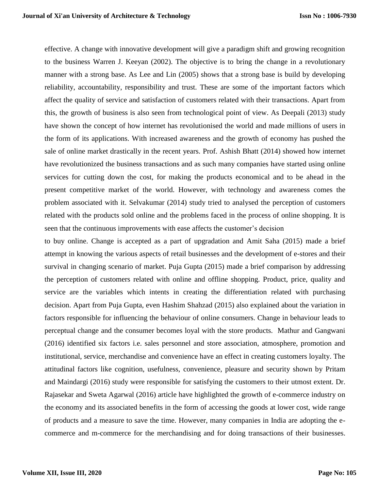effective. A change with innovative development will give a paradigm shift and growing recognition to the business Warren J. Keeyan (2002). The objective is to bring the change in a revolutionary manner with a strong base. As Lee and Lin (2005) shows that a strong base is build by developing reliability, accountability, responsibility and trust. These are some of the important factors which affect the quality of service and satisfaction of customers related with their transactions. Apart from this, the growth of business is also seen from technological point of view. As Deepali (2013) study have shown the concept of how internet has revolutionised the world and made millions of users in the form of its applications. With increased awareness and the growth of economy has pushed the sale of online market drastically in the recent years. Prof. Ashish Bhatt (2014) showed how internet have revolutionized the business transactions and as such many companies have started using online services for cutting down the cost, for making the products economical and to be ahead in the present competitive market of the world. However, with technology and awareness comes the problem associated with it. Selvakumar (2014) study tried to analysed the perception of customers related with the products sold online and the problems faced in the process of online shopping. It is seen that the continuous improvements with ease affects the customer's decision

to buy online. Change is accepted as a part of upgradation and Amit Saha (2015) made a brief attempt in knowing the various aspects of retail businesses and the development of e-stores and their survival in changing scenario of market. Puja Gupta (2015) made a brief comparison by addressing the perception of customers related with online and offline shopping. Product, price, quality and service are the variables which intents in creating the differentiation related with purchasing decision. Apart from Puja Gupta, even Hashim Shahzad (2015) also explained about the variation in factors responsible for influencing the behaviour of online consumers. Change in behaviour leads to perceptual change and the consumer becomes loyal with the store products. Mathur and Gangwani (2016) identified six factors i.e. sales personnel and store association, atmosphere, promotion and institutional, service, merchandise and convenience have an effect in creating customers loyalty. The attitudinal factors like cognition, usefulness, convenience, pleasure and security shown by Pritam and Maindargi (2016) study were responsible for satisfying the customers to their utmost extent. Dr. Rajasekar and Sweta Agarwal (2016) article have highlighted the growth of e-commerce industry on the economy and its associated benefits in the form of accessing the goods at lower cost, wide range of products and a measure to save the time. However, many companies in India are adopting the ecommerce and m-commerce for the merchandising and for doing transactions of their businesses.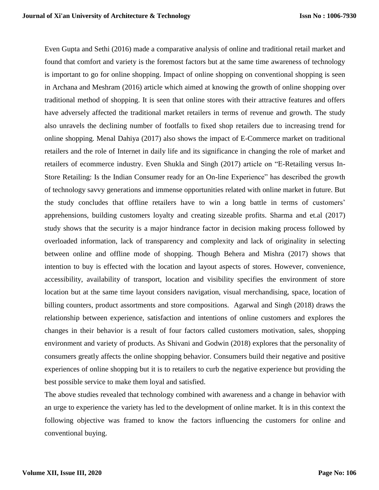Even Gupta and Sethi (2016) made a comparative analysis of online and traditional retail market and found that comfort and variety is the foremost factors but at the same time awareness of technology is important to go for online shopping. Impact of online shopping on conventional shopping is seen in Archana and Meshram (2016) article which aimed at knowing the growth of online shopping over traditional method of shopping. It is seen that online stores with their attractive features and offers have adversely affected the traditional market retailers in terms of revenue and growth. The study also unravels the declining number of footfalls to fixed shop retailers due to increasing trend for online shopping. Menal Dahiya (2017) also shows the impact of E-Commerce market on traditional retailers and the role of Internet in daily life and its significance in changing the role of market and retailers of ecommerce industry. Even Shukla and Singh (2017) article on "E-Retailing versus In-Store Retailing: Is the Indian Consumer ready for an On-line Experience" has described the growth of technology savvy generations and immense opportunities related with online market in future. But the study concludes that offline retailers have to win a long battle in terms of customers' apprehensions, building customers loyalty and creating sizeable profits. Sharma and et.al (2017) study shows that the security is a major hindrance factor in decision making process followed by overloaded information, lack of transparency and complexity and lack of originality in selecting between online and offline mode of shopping. Though Behera and Mishra (2017) shows that intention to buy is effected with the location and layout aspects of stores. However, convenience, accessibility, availability of transport, location and visibility specifies the environment of store location but at the same time layout considers navigation, visual merchandising, space, location of billing counters, product assortments and store compositions. Agarwal and Singh (2018) draws the relationship between experience, satisfaction and intentions of online customers and explores the changes in their behavior is a result of four factors called customers motivation, sales, shopping environment and variety of products. As Shivani and Godwin (2018) explores that the personality of consumers greatly affects the online shopping behavior. Consumers build their negative and positive experiences of online shopping but it is to retailers to curb the negative experience but providing the best possible service to make them loyal and satisfied.

The above studies revealed that technology combined with awareness and a change in behavior with an urge to experience the variety has led to the development of online market. It is in this context the following objective was framed to know the factors influencing the customers for online and conventional buying.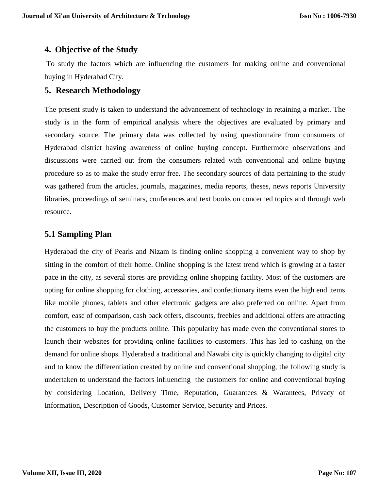### **4. Objective of the Study**

To study the factors which are influencing the customers for making online and conventional buying in Hyderabad City.

#### **5. Research Methodology**

The present study is taken to understand the advancement of technology in retaining a market. The study is in the form of empirical analysis where the objectives are evaluated by primary and secondary source. The primary data was collected by using questionnaire from consumers of Hyderabad district having awareness of online buying concept. Furthermore observations and discussions were carried out from the consumers related with conventional and online buying procedure so as to make the study error free. The secondary sources of data pertaining to the study was gathered from the articles, journals, magazines, media reports, theses, news reports University libraries, proceedings of seminars, conferences and text books on concerned topics and through web resource.

### **5.1 Sampling Plan**

Hyderabad the city of Pearls and Nizam is finding online shopping a convenient way to shop by sitting in the comfort of their home. Online shopping is the latest trend which is growing at a faster pace in the city, as several stores are providing online shopping facility. Most of the customers are opting for online shopping for clothing, accessories, and confectionary items even the high end items like mobile phones, tablets and other electronic gadgets are also preferred on online. Apart from comfort, ease of comparison, cash back offers, discounts, freebies and additional offers are attracting the customers to buy the products online. This popularity has made even the conventional stores to launch their websites for providing online facilities to customers. This has led to cashing on the demand for online shops. Hyderabad a traditional and Nawabi city is quickly changing to digital city and to know the differentiation created by online and conventional shopping, the following study is undertaken to understand the factors influencing the customers for online and conventional buying by considering Location, Delivery Time, Reputation, Guarantees & Warantees, Privacy of Information, Description of Goods, Customer Service, Security and Prices.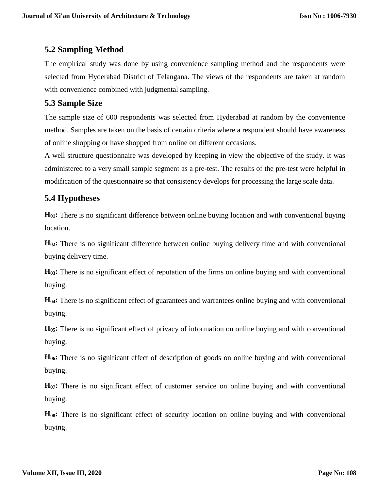### **5.2 Sampling Method**

The empirical study was done by using convenience sampling method and the respondents were selected from Hyderabad District of Telangana. The views of the respondents are taken at random with convenience combined with judgmental sampling.

### **5.3 Sample Size**

The sample size of 600 respondents was selected from Hyderabad at random by the convenience method. Samples are taken on the basis of certain criteria where a respondent should have awareness of online shopping or have shopped from online on different occasions.

A well structure questionnaire was developed by keeping in view the objective of the study. It was administered to a very small sample segment as a pre-test. The results of the pre-test were helpful in modification of the questionnaire so that consistency develops for processing the large scale data.

## **5.4 Hypotheses**

**H01:** There is no significant difference between online buying location and with conventional buying location.

**H02:** There is no significant difference between online buying delivery time and with conventional buying delivery time.

**H03:** There is no significant effect of reputation of the firms on online buying and with conventional buying.

**H04:** There is no significant effect of guarantees and warrantees online buying and with conventional buying.

**H05:** There is no significant effect of privacy of information on online buying and with conventional buying.

**H06:** There is no significant effect of description of goods on online buying and with conventional buying.

**H07:** There is no significant effect of customer service on online buying and with conventional buying.

**H08:** There is no significant effect of security location on online buying and with conventional buying.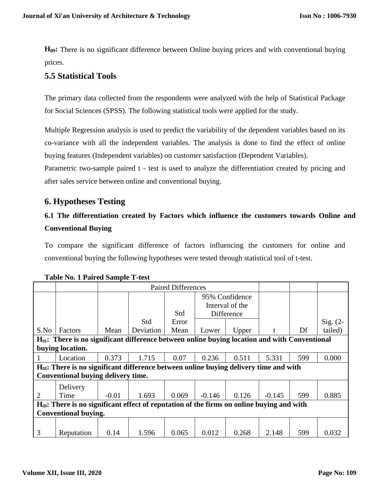**H09:** There is no significant difference between Online buying prices and with conventional buying prices.

### **5.5 Statistical Tools**

The primary data collected from the respondents were analyzed with the help of Statistical Package for Social Sciences (SPSS). The following statistical tools were applied for the study.

Multiple Regression analysis is used to predict the variability of the dependent variables based on its co-variance with all the independent variables. The analysis is done to find the effect of online buying features (Independent variables) on customer satisfaction (Dependent Variables).

Parametric two-sample paired t - test is used to analyze the differentiation created by pricing and after sales service between online and conventional buying.

### **6. Hypotheses Testing**

## **6.1 The differentiation created by Factors which influence the customers towards Online and Conventional Buying**

To compare the significant difference of factors influencing the customers for online and conventional buying the following hypotheses were tested through statistical tool of t-test.

|                                                                                                    |                                    | <b>Paired Differences</b> |           |       |                                   |       |              |     |          |  |  |
|----------------------------------------------------------------------------------------------------|------------------------------------|---------------------------|-----------|-------|-----------------------------------|-------|--------------|-----|----------|--|--|
|                                                                                                    |                                    |                           |           |       | 95% Confidence<br>Interval of the |       |              |     |          |  |  |
|                                                                                                    |                                    |                           |           | Std   | Difference                        |       |              |     |          |  |  |
|                                                                                                    |                                    |                           | Std       | Error |                                   |       |              |     | Sig. (2- |  |  |
| S.No                                                                                               | <b>Factors</b>                     | Mean                      | Deviation | Mean  | Lower                             | Upper | $^{\dagger}$ | Df  | tailed)  |  |  |
| $H_{01}$ : There is no significant difference between online buying location and with Conventional |                                    |                           |           |       |                                   |       |              |     |          |  |  |
| buying location.                                                                                   |                                    |                           |           |       |                                   |       |              |     |          |  |  |
|                                                                                                    | Location                           | 0.373                     | 1.715     | 0.07  | 0.236                             | 0.511 | 5.331        | 599 | 0.000    |  |  |
| H <sub>02</sub> : There is no significant difference between online buying delivery time and with  |                                    |                           |           |       |                                   |       |              |     |          |  |  |
|                                                                                                    | Conventional buying delivery time. |                           |           |       |                                   |       |              |     |          |  |  |
|                                                                                                    | Delivery                           |                           |           |       |                                   |       |              |     |          |  |  |
| $\overline{2}$                                                                                     | Time                               | $-0.01$                   | 1.693     | 0.069 | $-0.146$                          | 0.126 | $-0.145$     | 599 | 0.885    |  |  |
| $H03$ : There is no significant effect of reputation of the firms on online buying and with        |                                    |                           |           |       |                                   |       |              |     |          |  |  |
| <b>Conventional buying.</b>                                                                        |                                    |                           |           |       |                                   |       |              |     |          |  |  |
|                                                                                                    |                                    |                           |           |       |                                   |       |              |     |          |  |  |
| 3                                                                                                  | Reputation                         | 0.14                      | 1.596     | 0.065 | 0.012                             | 0.268 | 2.148        | 599 | 0.032    |  |  |

#### **Table No. 1 Paired Sample T-test**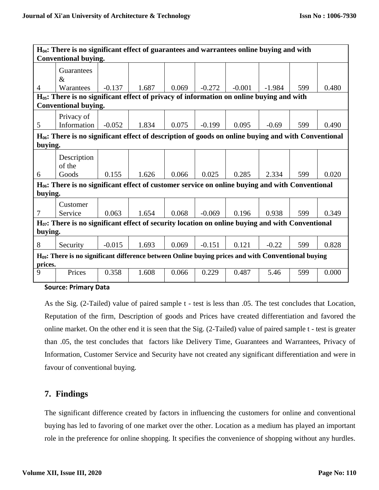| $H_{04}$ : There is no significant effect of guarantees and warrantees online buying and with                          |                       |          |       |       |          |          |          |     |       |  |
|------------------------------------------------------------------------------------------------------------------------|-----------------------|----------|-------|-------|----------|----------|----------|-----|-------|--|
| <b>Conventional buying.</b>                                                                                            |                       |          |       |       |          |          |          |     |       |  |
|                                                                                                                        | Guarantees<br>$\&$    |          |       |       |          |          |          |     |       |  |
| $\overline{4}$                                                                                                         | Warantees             | $-0.137$ | 1.687 | 0.069 | $-0.272$ | $-0.001$ | $-1.984$ | 599 | 0.480 |  |
| H <sub>05</sub> : There is no significant effect of privacy of information on online buying and with                   |                       |          |       |       |          |          |          |     |       |  |
| <b>Conventional buying.</b>                                                                                            |                       |          |       |       |          |          |          |     |       |  |
|                                                                                                                        | Privacy of            |          |       |       |          |          |          |     |       |  |
| 5                                                                                                                      | Information           | $-0.052$ | 1.834 | 0.075 | $-0.199$ | 0.095    | $-0.69$  | 599 | 0.490 |  |
| $H06$ : There is no significant effect of description of goods on online buying and with Conventional                  |                       |          |       |       |          |          |          |     |       |  |
| buying.                                                                                                                |                       |          |       |       |          |          |          |     |       |  |
|                                                                                                                        | Description<br>of the |          |       |       |          |          |          |     |       |  |
| 6                                                                                                                      | Goods                 | 0.155    | 1.626 | 0.066 | 0.025    | 0.285    | 2.334    | 599 | 0.020 |  |
| H <sub>06</sub> : There is no significant effect of customer service on online buying and with Conventional<br>buying. |                       |          |       |       |          |          |          |     |       |  |
| 7                                                                                                                      | Customer<br>Service   | 0.063    | 1.654 | 0.068 | $-0.069$ | 0.196    | 0.938    | 599 | 0.349 |  |
| $H07$ : There is no significant effect of security location on online buying and with Conventional<br>buying.          |                       |          |       |       |          |          |          |     |       |  |
| 8                                                                                                                      | Security              | $-0.015$ | 1.693 | 0.069 | $-0.151$ | 0.121    | $-0.22$  | 599 | 0.828 |  |
| $H09$ : There is no significant difference between Online buying prices and with Conventional buying<br>prices.        |                       |          |       |       |          |          |          |     |       |  |
| 9                                                                                                                      | Prices                | 0.358    | 1.608 | 0.066 | 0.229    | 0.487    | 5.46     | 599 | 0.000 |  |

**Source: Primary Data**

As the Sig. (2-Tailed) value of paired sample t - test is less than .05. The test concludes that Location, Reputation of the firm, Description of goods and Prices have created differentiation and favored the online market. On the other end it is seen that the Sig. (2-Tailed) value of paired sample t - test is greater than .05, the test concludes that factors like Delivery Time, Guarantees and Warrantees, Privacy of Information, Customer Service and Security have not created any significant differentiation and were in favour of conventional buying.

### **7. Findings**

The significant difference created by factors in influencing the customers for online and conventional buying has led to favoring of one market over the other. Location as a medium has played an important role in the preference for online shopping. It specifies the convenience of shopping without any hurdles.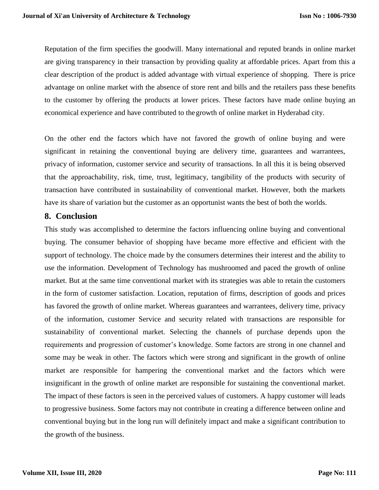Reputation of the firm specifies the goodwill. Many international and reputed brands in online market are giving transparency in their transaction by providing quality at affordable prices. Apart from this a clear description of the product is added advantage with virtual experience of shopping. There is price advantage on online market with the absence of store rent and bills and the retailers pass these benefits to the customer by offering the products at lower prices. These factors have made online buying an economical experience and have contributed to thegrowth of online market in Hyderabad city.

On the other end the factors which have not favored the growth of online buying and were significant in retaining the conventional buying are delivery time, guarantees and warrantees, privacy of information, customer service and security of transactions. In all this it is being observed that the approachability, risk, time, trust, legitimacy, tangibility of the products with security of transaction have contributed in sustainability of conventional market. However, both the markets have its share of variation but the customer as an opportunist wants the best of both the worlds.

#### **8. Conclusion**

This study was accomplished to determine the factors influencing online buying and conventional buying. The consumer behavior of shopping have became more effective and efficient with the support of technology. The choice made by the consumers determines their interest and the ability to use the information. Development of Technology has mushroomed and paced the growth of online market. But at the same time conventional market with its strategies was able to retain the customers in the form of customer satisfaction. Location, reputation of firms, description of goods and prices has favored the growth of online market. Whereas guarantees and warrantees, delivery time, privacy of the information, customer Service and security related with transactions are responsible for sustainability of conventional market. Selecting the channels of purchase depends upon the requirements and progression of customer's knowledge. Some factors are strong in one channel and some may be weak in other. The factors which were strong and significant in the growth of online market are responsible for hampering the conventional market and the factors which were insignificant in the growth of online market are responsible for sustaining the conventional market. The impact of these factors is seen in the perceived values of customers. A happy customer will leads to progressive business. Some factors may not contribute in creating a difference between online and conventional buying but in the long run will definitely impact and make a significant contribution to the growth of the business.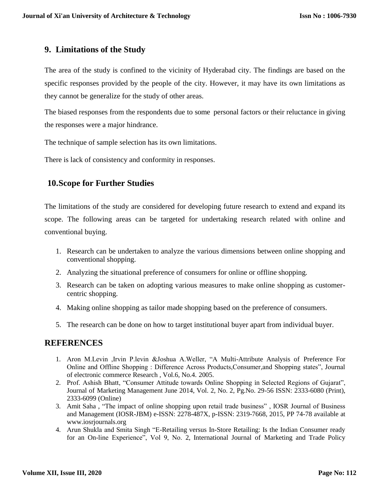#### **9. Limitations of the Study**

The area of the study is confined to the vicinity of Hyderabad city. The findings are based on the specific responses provided by the people of the city. However, it may have its own limitations as they cannot be generalize for the study of other areas.

The biased responses from the respondents due to some personal factors or their reluctance in giving the responses were a major hindrance.

The technique of sample selection has its own limitations.

There is lack of consistency and conformity in responses.

### **10.Scope for Further Studies**

The limitations of the study are considered for developing future research to extend and expand its scope. The following areas can be targeted for undertaking research related with online and conventional buying.

- 1. Research can be undertaken to analyze the various dimensions between online shopping and conventional shopping.
- 2. Analyzing the situational preference of consumers for online or offline shopping.
- 3. Research can be taken on adopting various measures to make online shopping as customercentric shopping.
- 4. Making online shopping as tailor made shopping based on the preference of consumers.
- 5. The research can be done on how to target institutional buyer apart from individual buyer.

### **REFERENCES**

- 1. Aron M.Levin ,Irvin P.levin &Joshua A.Weller, "A Multi-Attribute Analysis of Preference For Online and Offline Shopping : Difference Across Products,Consumer,and Shopping states", Journal of electronic commerce Research , Vol.6, No.4. 2005.
- 2. Prof. Ashish Bhatt, "Consumer Attitude towards Online Shopping in Selected Regions of Gujarat", Journal of Marketing Management June 2014, Vol. 2, No. 2, Pg.No. 29-56 ISSN: 2333-6080 (Print), 2333-6099 (Online)
- 3. Amit Saha , "The impact of online shopping upon retail trade business" , IOSR Journal of Business and Management (IOSR-JBM) e-ISSN: 2278-487X, p-ISSN: 2319-7668, 2015, PP 74-78 available at [www.iosrjournals.org](http://www.iosrjournals.org/)
- 4. Arun Shukla and Smita Singh "E-Retailing versus In-Store Retailing: Is the Indian Consumer ready for an On-line Experience", Vol 9, No. 2, International Journal of Marketing and Trade Policy